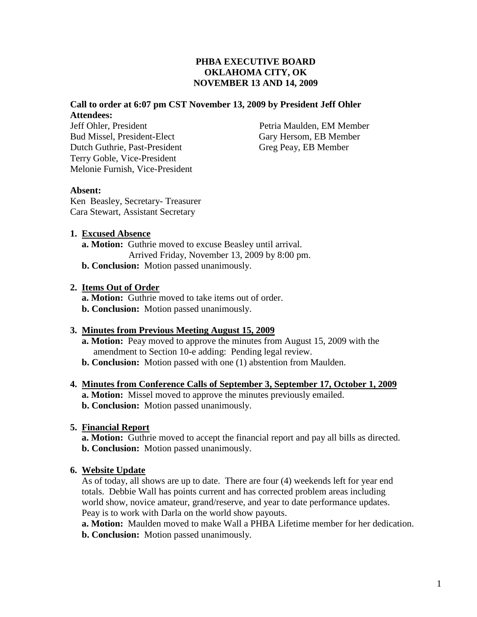# **Call to order at 6:07 pm CST November 13, 2009 by President Jeff Ohler Attendees:**

Jeff Ohler, President Petria Maulden, EM Member Bud Missel, President-Elect Gary Hersom, EB Member Dutch Guthrie, Past-President Greg Peay, EB Member Terry Goble, Vice-President Melonie Furnish, Vice-President

## **Absent:**

Ken Beasley, Secretary- Treasurer Cara Stewart, Assistant Secretary

## **1. Excused Absence**

 **a. Motion:** Guthrie moved to excuse Beasley until arrival. Arrived Friday, November 13, 2009 by 8:00 pm. **b. Conclusion:** Motion passed unanimously.

## **2. Items Out of Order**

 **a. Motion:** Guthrie moved to take items out of order. **b. Conclusion:** Motion passed unanimously.

## **3. Minutes from Previous Meeting August 15, 2009**

- **a. Motion:** Peay moved to approve the minutes from August 15, 2009 with the amendment to Section 10-e adding: Pending legal review.
- **b. Conclusion:** Motion passed with one (1) abstention from Maulden.

## **4. Minutes from Conference Calls of September 3, September 17, October 1, 2009**

**a. Motion:** Missel moved to approve the minutes previously emailed.  **b. Conclusion:** Motion passed unanimously.

## **5. Financial Report**

 **a. Motion:** Guthrie moved to accept the financial report and pay all bills as directed.  **b. Conclusion:** Motion passed unanimously.

## **6. Website Update**

As of today, all shows are up to date. There are four (4) weekends left for year end totals. Debbie Wall has points current and has corrected problem areas including world show, novice amateur, grand/reserve, and year to date performance updates. Peay is to work with Darla on the world show payouts.

 **a. Motion:** Maulden moved to make Wall a PHBA Lifetime member for her dedication.  **b. Conclusion:** Motion passed unanimously.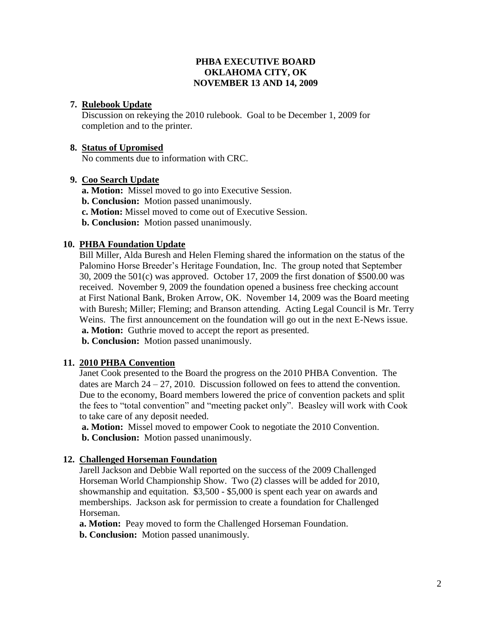### **7. Rulebook Update**

Discussion on rekeying the 2010 rulebook. Goal to be December 1, 2009 for completion and to the printer.

#### **8. Status of Upromised**

No comments due to information with CRC.

### **9. Coo Search Update**

 **a. Motion:** Missel moved to go into Executive Session.  **b. Conclusion:** Motion passed unanimously. **c. Motion:** Missel moved to come out of Executive Session.  **b. Conclusion:** Motion passed unanimously.

### **10. PHBA Foundation Update**

 Bill Miller, Alda Buresh and Helen Fleming shared the information on the status of the Palomino Horse Breeder's Heritage Foundation, Inc. The group noted that September 30, 2009 the 501(c) was approved. October 17, 2009 the first donation of \$500.00 was received. November 9, 2009 the foundation opened a business free checking account at First National Bank, Broken Arrow, OK. November 14, 2009 was the Board meeting with Buresh; Miller; Fleming; and Branson attending. Acting Legal Council is Mr. Terry Weins. The first announcement on the foundation will go out in the next E-News issue. **a. Motion:** Guthrie moved to accept the report as presented.

 **b. Conclusion:** Motion passed unanimously.

## **11. 2010 PHBA Convention**

 Janet Cook presented to the Board the progress on the 2010 PHBA Convention. The dates are March  $24 - 27$ , 2010. Discussion followed on fees to attend the convention. Due to the economy, Board members lowered the price of convention packets and split the fees to "total convention" and "meeting packet only". Beasley will work with Cook to take care of any deposit needed.

 **a. Motion:** Missel moved to empower Cook to negotiate the 2010 Convention.  **b. Conclusion:** Motion passed unanimously.

#### **12. Challenged Horseman Foundation**

Jarell Jackson and Debbie Wall reported on the success of the 2009 Challenged Horseman World Championship Show. Two (2) classes will be added for 2010, showmanship and equitation. \$3,500 - \$5,000 is spent each year on awards and memberships. Jackson ask for permission to create a foundation for Challenged Horseman.

 **a. Motion:** Peay moved to form the Challenged Horseman Foundation.

 **b. Conclusion:** Motion passed unanimously.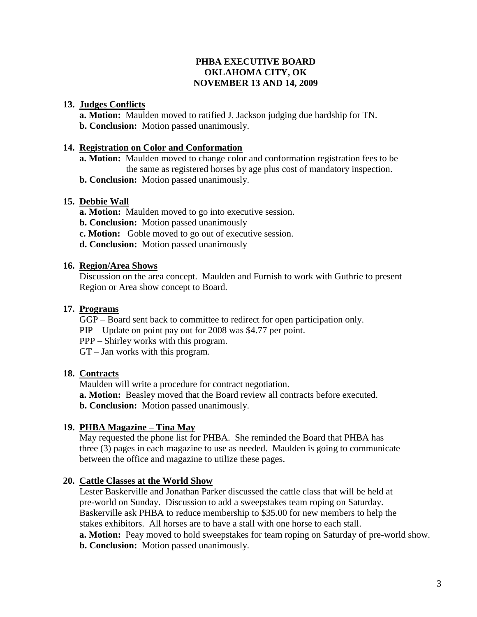### **13. Judges Conflicts**

 **a. Motion:** Maulden moved to ratified J. Jackson judging due hardship for TN. **b. Conclusion:** Motion passed unanimously.

### **14. Registration on Color and Conformation**

 **a. Motion:** Maulden moved to change color and conformation registration fees to be the same as registered horses by age plus cost of mandatory inspection.

 **b. Conclusion:** Motion passed unanimously.

### **15. Debbie Wall**

 **a. Motion:** Maulden moved to go into executive session.

- **b. Conclusion:** Motion passed unanimously
- **c. Motion:** Goble moved to go out of executive session.
- **d. Conclusion:** Motion passed unanimously

### **16. Region/Area Shows**

 Discussion on the area concept. Maulden and Furnish to work with Guthrie to present Region or Area show concept to Board.

## **17. Programs**

 GGP – Board sent back to committee to redirect for open participation only. PIP – Update on point pay out for 2008 was \$4.77 per point. PPP – Shirley works with this program.

GT – Jan works with this program.

## **18. Contracts**

Maulden will write a procedure for contract negotiation. **a. Motion:** Beasley moved that the Board review all contracts before executed.  **b. Conclusion:** Motion passed unanimously.

## **19. PHBA Magazine – Tina May**

 May requested the phone list for PHBA. She reminded the Board that PHBA has three (3) pages in each magazine to use as needed. Maulden is going to communicate between the office and magazine to utilize these pages.

## **20. Cattle Classes at the World Show**

 Lester Baskerville and Jonathan Parker discussed the cattle class that will be held at pre-world on Sunday. Discussion to add a sweepstakes team roping on Saturday. Baskerville ask PHBA to reduce membership to \$35.00 for new members to help the stakes exhibitors. All horses are to have a stall with one horse to each stall. **a. Motion:** Peay moved to hold sweepstakes for team roping on Saturday of pre-world show.  **b. Conclusion:** Motion passed unanimously.